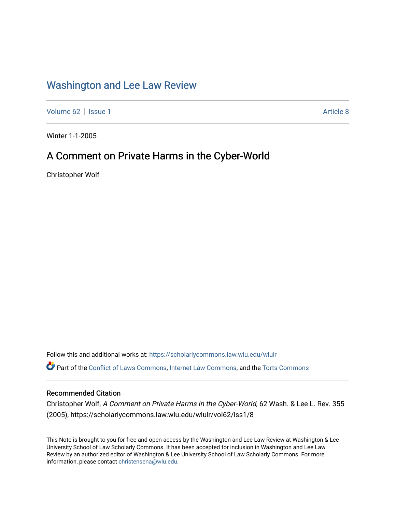## [Washington and Lee Law Review](https://scholarlycommons.law.wlu.edu/wlulr)

[Volume 62](https://scholarlycommons.law.wlu.edu/wlulr/vol62) | [Issue 1](https://scholarlycommons.law.wlu.edu/wlulr/vol62/iss1) Article 8

Winter 1-1-2005

## A Comment on Private Harms in the Cyber-World

Christopher Wolf

Follow this and additional works at: [https://scholarlycommons.law.wlu.edu/wlulr](https://scholarlycommons.law.wlu.edu/wlulr?utm_source=scholarlycommons.law.wlu.edu%2Fwlulr%2Fvol62%2Fiss1%2F8&utm_medium=PDF&utm_campaign=PDFCoverPages)  Part of the [Conflict of Laws Commons,](http://network.bepress.com/hgg/discipline/588?utm_source=scholarlycommons.law.wlu.edu%2Fwlulr%2Fvol62%2Fiss1%2F8&utm_medium=PDF&utm_campaign=PDFCoverPages) [Internet Law Commons,](http://network.bepress.com/hgg/discipline/892?utm_source=scholarlycommons.law.wlu.edu%2Fwlulr%2Fvol62%2Fiss1%2F8&utm_medium=PDF&utm_campaign=PDFCoverPages) and the [Torts Commons](http://network.bepress.com/hgg/discipline/913?utm_source=scholarlycommons.law.wlu.edu%2Fwlulr%2Fvol62%2Fiss1%2F8&utm_medium=PDF&utm_campaign=PDFCoverPages) 

## Recommended Citation

Christopher Wolf, A Comment on Private Harms in the Cyber-World, 62 Wash. & Lee L. Rev. 355 (2005), https://scholarlycommons.law.wlu.edu/wlulr/vol62/iss1/8

This Note is brought to you for free and open access by the Washington and Lee Law Review at Washington & Lee University School of Law Scholarly Commons. It has been accepted for inclusion in Washington and Lee Law Review by an authorized editor of Washington & Lee University School of Law Scholarly Commons. For more information, please contact [christensena@wlu.edu](mailto:christensena@wlu.edu).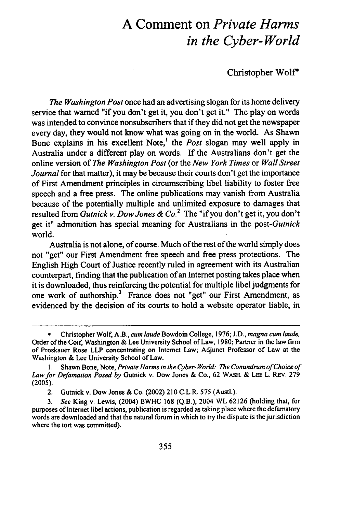## **A Comment on** *Private Harms in the Cyber-World*

Christopher Wolf\*

*The Washington Post* once had an advertising slogan for its home delivery service that warned "if you don't get it, you don't get it." The play on words was intended to convince nonsubscribers that if they did not get the newspaper every day, they would not know what was going on in the world. As Shawn Bone explains in his excellent Note,' the *Post* slogan may well apply in Australia under a different play on words. If the Australians don't get the online version of *The Washington Post* (or the *New York Times* or *Wall Street Journal* for that matter), it may be because their courts don't get the importance of First Amendment principles in circumscribing libel liability to foster free speech and a free press. The online publications may vanish from Australia because of the potentially multiple and unlimited exposure to damages that resulted from *Gutnick v. Dow Jones & Co.2* The "if you don't get it, you don't get it" admonition has special meaning for Australians in the *post-Gutnick* world.

Australia is not alone, of course. Much of the rest of the world simply does not "get" our First Amendment free speech and free press protections. The English High Court of Justice recently ruled in agreement with its Australian counterpart, finding that the publication of an Internet posting takes place when it is downloaded, thus reinforcing the potential for multiple libel judgments for one work of authorship.<sup>3</sup> France does not "get" our First Amendment, as evidenced by the decision of its courts to hold a website operator liable, in

**<sup>\*</sup>** Christopher Wolf, A.B., *cum laude* Bowdoin College, **1976;** J.D., *magna cum laude,* Order of the Coif, Washington & Lee University School of Law, 1980; Partner in the law firm of Proskauer Rose LLP concentrating on Internet Law; Adjunct Professor of Law at the Washington & Lee University School of Law.

**<sup>1.</sup>** Shawn Bone, Note, *Private Harms in the Cyber- World: The Conundrum of Choice of Law for Defamation Posed by* Gutnick v. Dow Jones & Co., 62 WASH. & **LEE** L. REv. 279 (2005).

<sup>2.</sup> Gutnick v. Dow Jones & Co. (2002) 210 C.L.R. 575 (Austl.).

*<sup>3.</sup> See* King v. Lewis, (2004) EWHC 168 (Q.B.), 2004 WL 62126 (holding that, for purposes of Internet libel actions, publication is regarded as taking place where the defamatory words are downloaded and that the natural forum in which to try the dispute is the jurisdiction where the tort was committed).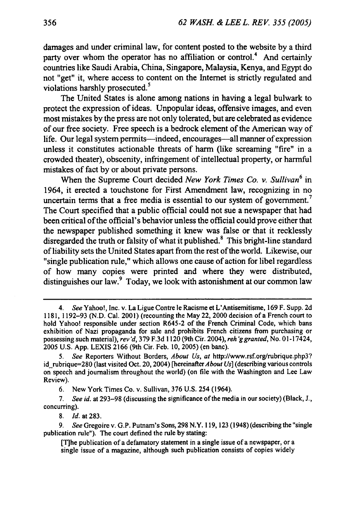damages and under criminal law, for content posted to the website **by** a third party over whom the operator has no affiliation or control.<sup>4</sup> And certainly countries like Saudi Arabia, China, Singapore, Malaysia, Kenya, and Egypt do not "get" it, where access to content on the Internet is strictly regulated and violations harshly prosecuted.<sup>5</sup>

The United States is alone among nations in having a legal bulwark to protect the expression of ideas. Unpopular ideas, offensive images, and even most mistakes by the press are not only tolerated, but are celebrated as evidence of our free society. Free speech is a bedrock element of the American way of life. Our legal system permits-indeed, encourages-all manner of expression unless it constitutes actionable threats of harm (like screaming "fire" in a crowded theater), obscenity, infringement of intellectual property, or harmful mistakes of fact by or about private persons.

When the Supreme Court decided *New York Times Co. v. Sullivan6* in 1964, it erected a touchstone for First Amendment law, recognizing in no uncertain terms that a free media is essential to our system of government.<sup>7</sup> The Court specified that a public official could not sue a newspaper that had been critical of the official's behavior unless the official could prove either that the newspaper published something it knew was false or that it recklessly disregarded the truth or falsity of what it published.<sup>8</sup> This bright-line standard of liability sets the United States apart from the rest of the world. Likewise, our "single publication rule," which allows one cause of action for libel regardless of how many copies were printed and where they were distributed, distinguishes our law. $9$  Today, we look with astonishment at our common law

8. *Id.* at 283.

*<sup>4.</sup> See* Yahoo!, Inc. v. La Ligue Contre le Racisme et L'Antisemitisme, 169 F. Supp. 2d 1181, 1192-93 (N.D. Cal. 2001) (recounting the May 22, 2000 decision of a French court to hold Yahoo! responsible under section R645-2 of the French Criminal Code, which bans exhibition of Nazi propaganda for sale and prohibits French citizens from purchasing or possessing such material), *rev'd,* 379 F.3d 1120 (9th Cir. 2004), *reh 'g granted,* No. 01- 17424, 2005 U.S. App. LEXIS 2166 (9th Cir. Feb. 10, 2005) (en banc).

<sup>5.</sup> *See* Reporters Without Borders, *About Us,* at http://www.rsf.org/rubrique.php3? id rubrique=280 (last visited Oct. 20, 2004) [hereinafter About *Us]* (describing various controls on speech and journalism throughout the world) (on file with the Washington and Lee Law Review).

<sup>6.</sup> New York Times Co. v. Sullivan, 376 U.S. 254 (1964).

<sup>7.</sup> *See id.* at 293-98 (discussing the significance of the media in our society) (Black, J., concurring).

<sup>9.</sup> See Gregoire v. G.P. Putnam's Sons, 298 N.Y. 119, 123 (1948) (describing the "single publication rule"). The court defined the rule by stating:

<sup>[</sup>Tihe publication of a defamatory statement in a single issue of a newspaper, or a single issue of a magazine, although such publication consists of copies widely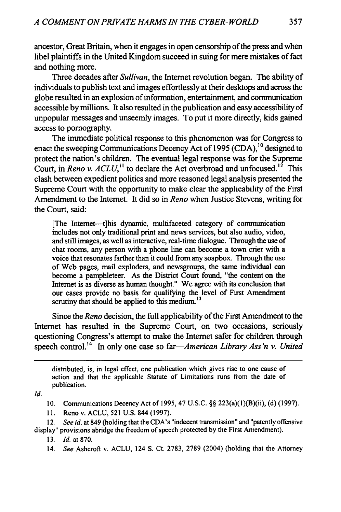ancestor, Great Britain, when it engages in open censorship of the press and when libel plaintiffs in the United Kingdom succeed in suing for mere mistakes of fact and nothing more.

Three decades after *Sullivan,* the Internet revolution began. The ability of individuals to publish text and images effortlessly at their desktops and across the globe resulted in an explosion of information, entertainment, and communication accessible by millions. It also resulted in the publication and easy accessibility of unpopular messages and unseemly images. To put it more directly, kids gained access to pornography.

The immediate political response to this phenomenon was for Congress to enact the sweeping Communications Decency Act of 1995 (CDA),<sup>10</sup> designed to protect the nation's children. The eventual legal response was for the Supreme Court, in *Reno v. ACLU*,<sup>11</sup> to declare the Act overbroad and unfocused.<sup>12</sup> This clash between expedient politics and more reasoned legal analysis presented the Supreme Court with the opportunity to make clear the applicability of the First Amendment to the Internet. It did so in *Reno* when Justice Stevens, writing for the Court, said:

[The Intemet-t]his dynamic, multifaceted category of communication includes not only traditional print and news services, but also audio, video, and still images, as well as interactive, real-time dialogue. Through the use of chat rooms, any person with a phone line can become a town crier with a voice that resonates farther than it could from any soapbox. Through the use of Web pages, mail exploders, and newsgroups, the same individual can become a pamphleteer. As the District Court found, "the content on the Internet is as diverse as human thought." We agree with its conclusion that our cases provide no basis for qualifying the level of First Amendment scrutiny that should be applied to this medium.<sup>13</sup>

Since the *Reno* decision, the full applicability of the First Amendment to the Internet has resulted in the Supreme Court, on two occasions, seriously questioning Congress's attempt to make the Internet safer for children through speech control.<sup>14</sup> In only one case so far—*American Library Ass'n v. United* 

distributed, is, in legal effect, one publication which gives rise to one cause of action and that the applicable Statute of Limitations runs from the date of publication.

*Id.*

10. Communications Decency Act of 1995, 47 U.S.C. §§ 223(a)(l)(B)(ii), (d) (1997).

11. Reno v. ACLU, 521 U.S. 844 (1997).

12. *See id.* at 849 (holding that the CDA's "indecent transmission" and "patently offensive display" provisions abridge the freedom of speech protected by the First Amendment).

13. *Id.* at **870.**

14. *See* Ashcroft v. ACLU, 124 **S.** Ct. 2783, 2789 (2004) (holding that the Attorney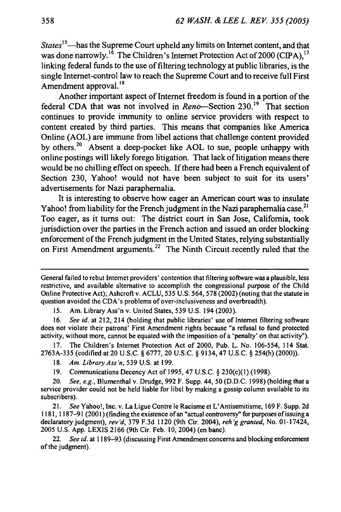*States*<sup>15</sup>—has the Supreme Court upheld any limits on Internet content, and that was done narrowly.<sup>16</sup> The Children's Internet Protection Act of 2000 (CIPA),<sup>17</sup> linking federal funds to the use of filtering technology at public libraries, is the single Internet-control law to reach the Supreme Court and to receive full First Amendment approval.<sup>18</sup>

Another important aspect of Internet freedom is found in a portion of the federal CDA that was not involved in Reno-Section 230.<sup>19</sup> That section continues to provide immunity to online service providers with respect to content created by third parties. This means that companies like America Online (AOL) are immune from libel actions that challenge content provided by others.<sup>20</sup> Absent a deep-pocket like AOL to sue, people unhappy with online postings will likely forego litigation. That lack of litigation means there would be no chilling effect on speech. If there had been a French equivalent of Section 230, Yahoo! would not have been subject to suit for its users' advertisements for Nazi paraphernalia.

It is interesting to observe how eager an American court was to insulate Yahoo! from liability for the French judgment in the Nazi paraphernalia case.<sup>21</sup> Too eager, as it turns out: The district court in San Jose, California, took jurisdiction over the parties in the French action and issued an order blocking enforcement of the French judgment in the United States, relying substantially on First Amendment arguments.<sup>22</sup> The Ninth Circuit recently ruled that the

15. Am. Library Ass'n v. United States, 539 U.S. 194 (2003).

16. *See id.* at 212, 214 (holding that public libraries' use of Internet filtering software does not violate their patrons' First Amendment rights because "a refusal to fund protected activity, without more, cannot be equated with the imposition of a 'penalty' on that activity").

17. The Children's Internet Protection Act of 2000, Pub. L. No. 106-554, 114 Stat. 2763A-335 (codified at 20 U.S.C. § 6777, 20 U.S.C. § 9134,47 U.S.C. § 254(h) (2000)).

- 18. *Am. Library Ass'n,* 539 U.S. at 199.
- 19. Communications Decency Act of 1995, 47 U.S.C. § 230(c)(1) (1998).

20. See, e.g., Blumenthal v. Drudge, 992 F. Supp. 44, 50 (D.D.C. 1998) (holding that a service provider could not be held liable for libel by making a gossip column available to its subscribers).

21. See Yahoo!, Inc. v. La Ligue Contre le Racisme et L'Antisemitisme, 169 F. Supp. 2d **1181, 1187-91** (2001) (finding the existence of an "actual controversy" for purposes of issuing a declaratory judgment), rev'd, 379 F.3d 1120 (9th Cir. 2004), reh'g *granted,* No. 01-17424, 2005 U.S. App. LEXIS 2166 (9th Cir. Feb. 10, 2004) (en banc).

22. See id. at 1189–93 (discussing First Amendment concerns and blocking enforcement of the judgment).

General failed to rebut Internet providers' contention that filtering software was a plausible, less restrictive, and available alternative to accomplish the congressional purpose of the Child Online Protective Act); Ashcroft v. ACLU, 535 U.S. 564, 578 (2002) (noting that the statute in question avoided the CDA's problems of over-inclusiveness and overbreadth).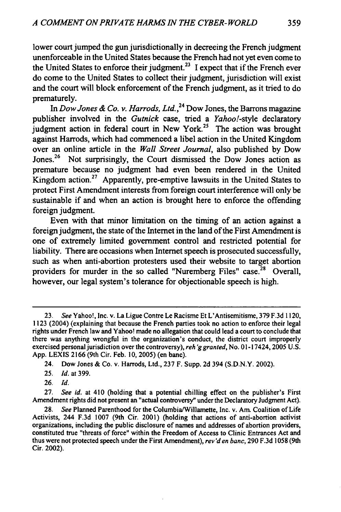lower court jumped the gun jurisdictionally in decreeing the French judgment unenforceable in the United States because the French had not yet even come to the United States to enforce their judgment.<sup>23</sup> I expect that if the French ever do come to the United States to collect their judgment, jurisdiction will exist and the court will block enforcement of the French judgment, as it tried to do prematurely.

In *Dow Jones & Co. v. Harrods, Ltd.*,<sup>24</sup> Dow Jones, the Barrons magazine publisher involved in the *Gutnick* case, tried a *Yahoo!-style* declaratory judgment action in federal court in New York.25 The action was brought against Harrods, which had commenced a libel action in the United Kingdom over an online article in the *Wall Street Journal,* also published by Dow Jones.<sup>26</sup> Not surprisingly, the Court dismissed the Dow Jones action as premature because no judgment had even been rendered in the United Kingdom action.27 Apparently, pre-emptive lawsuits in the United States to protect First Amendment interests from foreign court interference will only be sustainable if and when an action is brought here to enforce the offending foreign judgment.

Even with that minor limitation on the timing of an action against a foreign judgment, the state of the Internet in the land of the First Amendment is one of extremely limited government control and restricted potential for liability. There are occasions when Internet speech is prosecuted successfully, such as when anti-abortion protesters used their website to target abortion providers for murder in the so called "Nuremberg Files" case.<sup> $28$ </sup> Overall, however, our legal system's tolerance for objectionable speech is high.

- 25. **Id.** at 399.
- 26. *Id.*

27. See id. at 410 (holding that a potential chilling effect on the publisher's First Amendment rights did not present an "actual controversy" under the Declaratory Judgment Act).

<sup>23.</sup> See Yahoo!, Inc. v. La Ligue Contre Le Racisme Et L'Antisemitisme, 379 F.3d 1120, 1123 (2004) (explaining that because the French parties took no action to enforce their legal rights under French law and Yahoo! made no allegation that could lead a court to conclude that there was anything wrongful in the organization's conduct, the district court improperly exercised personal jurisdiction over the controversy), reh *'ggranted,* No. 0 **1-** 17424, 2005 U.S. App. LEXIS **2166** (9th Cir. Feb. 10, 2005) (en banc).

<sup>24.</sup> Dow Jones & Co. v. Harrods, Ltd., **237** F. Supp. 2d 394 (S.D.N.Y. 2002).

<sup>28.</sup> See Planned Parenthood for the Columbia/Willamette, Inc. v. Am. Coalition of Life Activists, 244 F.3d 1007 (9th Cir. 2001) (holding that actions of anti-abortion activist organizations, including the public disclosure of names and addresses of abortion providers, constituted true "threats of force" within the Freedom of Access to Clinic Entrances Act and thus were not protected speech under the First Amendment), rev 'den banc, **290** F.3d 1058 (9th Cir. 2002).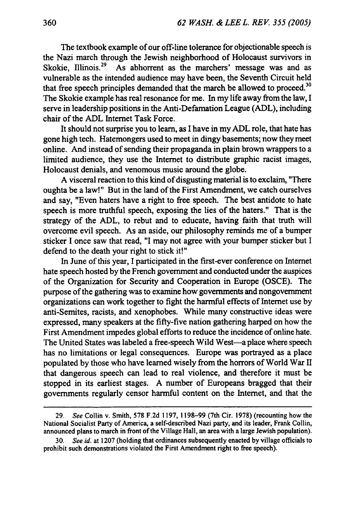The textbook example of our off-line tolerance for objectionable speech is the Nazi march through the Jewish neighborhood of Holocaust survivors in Skokie, Illinois.<sup>29</sup> As abhorrent as the marchers' message was and as vulnerable as the intended audience may have been, the Seventh Circuit held that free speech principles demanded that the march be allowed to proceed.<sup>30</sup> The Skokie example has real resonance for me. In my life away from the law, I serve in leadership positions in the Anti-Defamation League (ADL), including chair of the ADL Internet Task Force.

It should not surprise you to learn, as I have in my **ADL** role, that hate has gone high tech. Hatemongers used to meet in dingy basements; now they meet online. And instead of sending their propaganda in plain brown wrappers to a limited audience, they use the Internet to distribute graphic racist images, Holocaust denials, and venomous music around the globe.

A visceral reaction to this kind of disgusting material is to exclaim, "There oughta be a law!" But in the land of the First Amendment, we catch ourselves and say, "Even haters have a right to free speech. The best antidote to hate speech is more truthful speech, exposing the lies of the haters." That is the strategy of the ADL, to rebut and to educate, having faith that truth will overcome evil speech. As an aside, our philosophy reminds me of a bumper sticker I once saw that read, "I may not agree with your bumper sticker but I defend to the death your right to stick it!"

In June of this year, I participated in the first-ever conference on Internet hate speech hosted by the French government and conducted under the auspices of the Organization for Security and Cooperation in Europe (OSCE). The purpose of the gathering was to examine how governments and nongovernment organizations can work together to fight the harmful effects of Internet use by anti-Semites, racists, and xenophobes. While many constructive ideas were expressed, many speakers at the fifty-five nation gathering harped on how the First Amendment impedes global efforts to reduce the incidence of online hate. The United States was labeled a free-speech Wild West-a place where speech has no limitations or legal consequences. Europe was portrayed as a place populated by those who have learned wisely from the horrors of World War II that dangerous speech can lead to real violence, and therefore it must be stopped in its earliest stages. A number of Europeans bragged that their governments regularly censor harmful content on the Internet, and that the

<sup>29.</sup> *See* Collin v. Smith, 578 F.2d 1197, 1198-99 (7th Cir. 1978) (recounting how the National Socialist Party of America, a self-described Nazi party, and its leader, Frank Collin, announced plans to march in front of the Village Hall, an area with a large Jewish population).

<sup>30.</sup> *See id.* at 1207 (holding that ordinances subsequently enacted by village officials to prohibit such demonstrations violated the First Amendment right to free speech).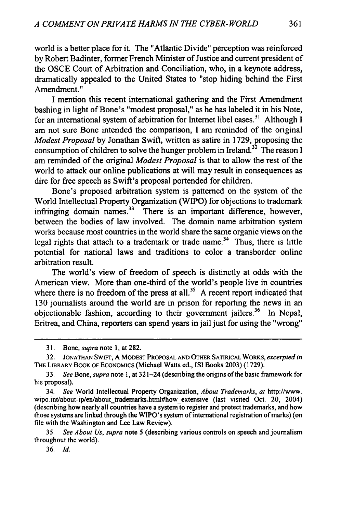world is a better place for it. The "Atlantic Divide" perception was reinforced **by** Robert Badinter, former French Minister of Justice and current president of the OSCE Court of Arbitration and Conciliation, who, in a keynote address, dramatically appealed to the United States to "stop hiding behind the First Amendment."

I mention this recent international gathering and the First Amendment bashing in light of Bone's "modest proposal," as he has labeled it in his Note, for an international system of arbitration for Internet libel cases.31 Although **I** am not sure Bone intended the comparison, **I** am reminded of the original *Modest Proposal* **by** Jonathan Swift, written as satire in **1729,** proposing the consumption of children to solve the hunger problem in Ireland.<sup>32</sup> The reason I am reminded of the original *Modest Proposal* is that to allow the rest of the world to attack our online publications at will may result in consequences as dire for free speech as Swift's proposal portended for children.

Bone's proposed arbitration system is patterned on the system of the World Intellectual Property Organization (WIPO) for objections to trademark infringing domain names. $33$  There is an important difference, however, between the bodies of law involved. The domain name arbitration system works because most countries in the world share the same organic views on the legal rights that attach to a trademark or trade name.<sup>34</sup> Thus, there is little potential for national laws and traditions to color a transborder online arbitration result.

The world's view of freedom of speech is distinctly at odds with the American view. More than one-third of the world's people live in countries where there is no freedom of the press at all.<sup>35</sup> A recent report indicated that 130 journalists around the world are in prison for reporting the news in an objectionable fashion, according to their government jailers.<sup>36</sup> In Nepal, Eritrea, and China, reporters can spend years in jail just for using the "wrong"

**35.** *See About Us, supra* note 5 (describing various controls on speech and journalism throughout the world).

**36.** *Id.*

<sup>31.</sup> Bone, *supra* note 1, at 282.

**<sup>32.</sup>** JONATHAN SwIFTr, A MODEST PROPOSAL **AND** OTHER SATIRICAL WORKS, *excerpted in* THE LIBRARY BOOK OF ECONOMICS (Michael Watts ed., ISI Books 2003) (1729).

<sup>33.</sup> *See* Bone, *supra* note **1,** at 321-24 (describing the origins of the basic framework for his proposal).

<sup>34.</sup> *See* World Intellectual Property Organization, *About Trademarks, at* http://www. wipo.int/about-ip/en/about\_trademarks.html#how\_extensive (last\_visited Oct. 20, 2004) (describing how nearly all countries have a system to register and protect trademarks, and how those systems are linked through the WIPO's system of international registration of marks) (on file with the Washington and Lee Law Review).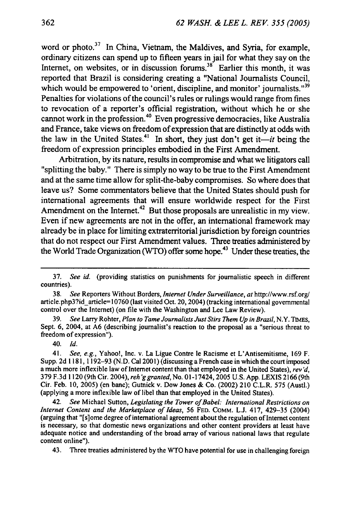word or photo.<sup>37</sup> In China, Vietnam, the Maldives, and Syria, for example, ordinary citizens can spend up to fifteen years in jail for what they say on the Internet, on websites, or in discussion forums.<sup>38</sup> Earlier this month, it was reported that Brazil is considering creating a "National Journalists Council, which would be empowered to 'orient, discipline, and monitor' journalists."<sup>39</sup> Penalties for violations of the council's rules or rulings would range from fines to revocation of a reporter's official registration, without which he or she cannot work in the profession. 40 Even progressive democracies, like Australia and France, take views on freedom of expression that are distinctly at odds with the law in the United States.<sup>41</sup> In short, they just don't get it—*it* being the freedom of expression principles embodied in the First Amendment.

Arbitration, by its nature, results in compromise and what we litigators call "splitting the baby." There is simply no way to be true to the First Amendment and at the same time allow for split-the-baby compromises. So where does that leave us? Some commentators believe that the United States should push for international agreements that will ensure worldwide respect for the First Amendment on the Internet.<sup>42</sup> But those proposals are unrealistic in my view. Even if new agreements are not in the offer, an international framework may already be in place for limiting extraterritorial jurisdiction by foreign countries that do not respect our First Amendment values. Three treaties administered by the World Trade Organization (WTO) offer some hope.<sup>43</sup> Under these treaties, the

40. *Id.*

41. *See, e.g.,* Yahoo!, Inc. v. La Ligue Contre le Racisme et L'Antisemitisme, 169 F. Supp. 2d 1181, 1192-93 (N.D. Cal 2001) (discussing a French case in which the court imposed a much more inflexible law of Internet content than that employed in the United States), *rev'd,* 379 F.3d 1120 (9th Cir. 2004), *reh 'g granted,* No. 01-17424, 2005 U.S. App. LEXIS 2166 (9th Cir. Feb. 10, 2005) (en banc); Gutnick v. Dow Jones & Co. (2002) 210 C.L.R. 575 (AustI.) (applying a more inflexible law of libel than that employed in the United States).

42. *See* Michael Sutton, *Legislating the Tower of Babel: International Restrictions on Internet Content and the Marketplace of Ideas,* 56 FED. COMM. L.J. 417, 429-35 (2004) (arguing that "[s]ome degree of international agreement about the regulation of Internet content is necessary, so that domestic news organizations and other content providers at least have adequate notice and understanding of the broad array of various national laws that regulate content online").

43. Three treaties administered by the WTO have potential for use in challenging foreign

<sup>37.</sup> *See id.* (providing statistics on punishments for journalistic speech in different countries).

<sup>38.</sup> *See* Reporters Without Borders, *Internet Under Surveillance, at* http://www.rsf.org/ article.php3?id\_article=10760 (last visited Oct. 20, 2004) (tracking international governmental control over the Internet) (on file with the Washington and Lee Law Review).

<sup>39.</sup> *See* Larry Rohter, *Plan to Tame Journalists Just Stirs Them Up in Brazil,* N.Y. **TIMES,** Sept. **6,** 2004, at **A6** (describing journalist's reaction to the proposal as a "serious threat to freedom of expression").